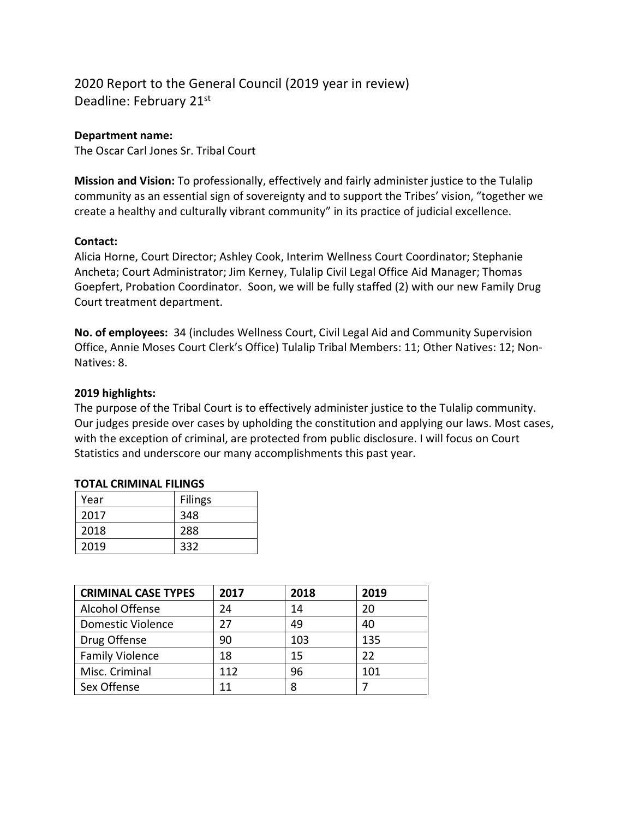# 2020 Report to the General Council (2019 year in review) Deadline: February 21st

#### **Department name:**

The Oscar Carl Jones Sr. Tribal Court

**Mission and Vision:** To professionally, effectively and fairly administer justice to the Tulalip community as an essential sign of sovereignty and to support the Tribes' vision, "together we create a healthy and culturally vibrant community" in its practice of judicial excellence.

#### **Contact:**

Alicia Horne, Court Director; Ashley Cook, Interim Wellness Court Coordinator; Stephanie Ancheta; Court Administrator; Jim Kerney, Tulalip Civil Legal Office Aid Manager; Thomas Goepfert, Probation Coordinator. Soon, we will be fully staffed (2) with our new Family Drug Court treatment department.

**No. of employees:** 34 (includes Wellness Court, Civil Legal Aid and Community Supervision Office, Annie Moses Court Clerk's Office) Tulalip Tribal Members: 11; Other Natives: 12; Non-Natives: 8.

#### **2019 highlights:**

The purpose of the Tribal Court is to effectively administer justice to the Tulalip community. Our judges preside over cases by upholding the constitution and applying our laws. Most cases, with the exception of criminal, are protected from public disclosure. I will focus on Court Statistics and underscore our many accomplishments this past year.

| Year | <b>Filings</b> |
|------|----------------|
| 2017 | 348            |
| 2018 | 288            |
| 2019 | 332            |

#### **TOTAL CRIMINAL FILINGS**

| <b>CRIMINAL CASE TYPES</b> | 2017 | 2018 | 2019 |
|----------------------------|------|------|------|
| Alcohol Offense            | 24   | 14   | 20   |
| <b>Domestic Violence</b>   | 27   | 49   | 40   |
| Drug Offense               | 90   | 103  | 135  |
| <b>Family Violence</b>     | 18   | 15   | 22   |
| Misc. Criminal             | 112  | 96   | 101  |
| Sex Offense                | 11   | 8    |      |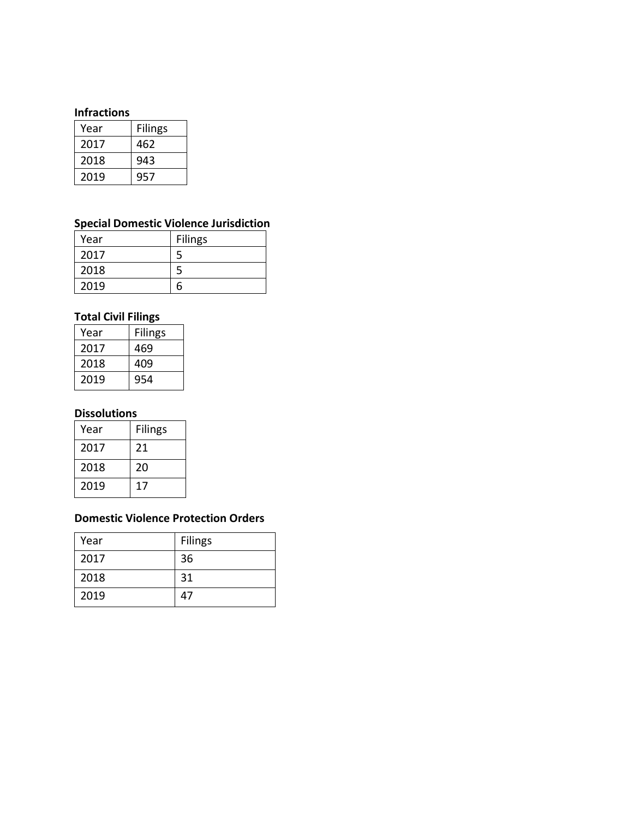#### **Infractions**

| Year | <b>Filings</b> |
|------|----------------|
| 2017 | 462            |
| 2018 | 943            |
| 2019 | 957            |

## **Special Domestic Violence Jurisdiction**

| Year | <b>Filings</b> |
|------|----------------|
| 2017 |                |
| 2018 |                |
| 2019 |                |

### **Total Civil Filings**

| Year | <b>Filings</b> |
|------|----------------|
| 2017 | 469            |
| 2018 | 409            |
| 2019 | 954            |

#### **Dissolutions**

| Year | <b>Filings</b> |
|------|----------------|
| 2017 | 21             |
| 2018 | 20             |
| 2019 | 17             |

### **Domestic Violence Protection Orders**

| Year | <b>Filings</b> |
|------|----------------|
| 2017 | 36             |
| 2018 | 31             |
| 2019 | 47             |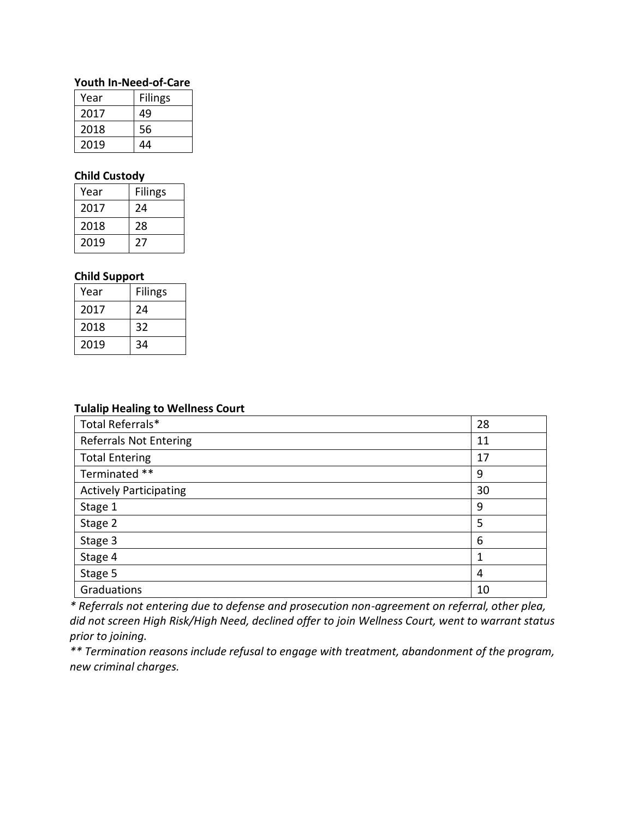#### **Youth In-Need-of-Care**

| Year | <b>Filings</b> |
|------|----------------|
| 2017 | 49             |
| 2018 | 56             |
| 2019 | 44             |

### **Child Custody**

| Year | <b>Filings</b> |
|------|----------------|
| 2017 | 24             |
| 2018 | 28             |
| 2019 | ,,             |

### **Child Support**

| Year | <b>Filings</b> |
|------|----------------|
| 2017 | 24             |
| 2018 | 32             |
| 2019 | 34             |

#### **Tulalip Healing to Wellness Court**

| Total Referrals*              | 28 |
|-------------------------------|----|
| <b>Referrals Not Entering</b> | 11 |
| <b>Total Entering</b>         | 17 |
| Terminated **                 | 9  |
| <b>Actively Participating</b> | 30 |
| Stage 1                       | 9  |
| Stage 2                       | 5  |
| Stage 3                       | 6  |
| Stage 4                       | 1  |
| Stage 5                       | 4  |
| Graduations                   | 10 |

*\* Referrals not entering due to defense and prosecution non-agreement on referral, other plea, did not screen High Risk/High Need, declined offer to join Wellness Court, went to warrant status prior to joining.*

*\*\* Termination reasons include refusal to engage with treatment, abandonment of the program, new criminal charges.*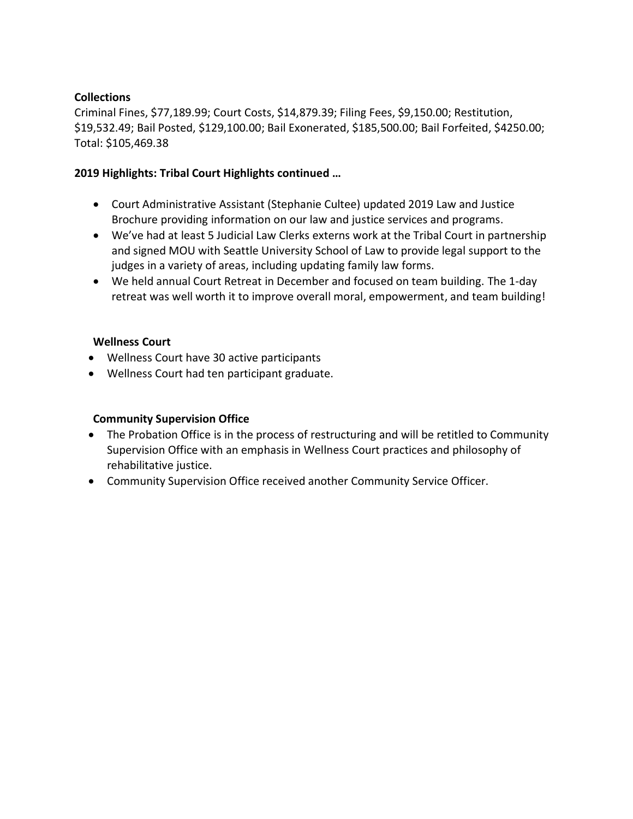### **Collections**

Criminal Fines, \$77,189.99; Court Costs, \$14,879.39; Filing Fees, \$9,150.00; Restitution, \$19,532.49; Bail Posted, \$129,100.00; Bail Exonerated, \$185,500.00; Bail Forfeited, \$4250.00; Total: \$105,469.38

### **2019 Highlights: Tribal Court Highlights continued …**

- Court Administrative Assistant (Stephanie Cultee) updated 2019 Law and Justice Brochure providing information on our law and justice services and programs.
- We've had at least 5 Judicial Law Clerks externs work at the Tribal Court in partnership and signed MOU with Seattle University School of Law to provide legal support to the judges in a variety of areas, including updating family law forms.
- We held annual Court Retreat in December and focused on team building. The 1-day retreat was well worth it to improve overall moral, empowerment, and team building!

### **Wellness Court**

- Wellness Court have 30 active participants
- Wellness Court had ten participant graduate.

### **Community Supervision Office**

- The Probation Office is in the process of restructuring and will be retitled to Community Supervision Office with an emphasis in Wellness Court practices and philosophy of rehabilitative justice.
- Community Supervision Office received another Community Service Officer.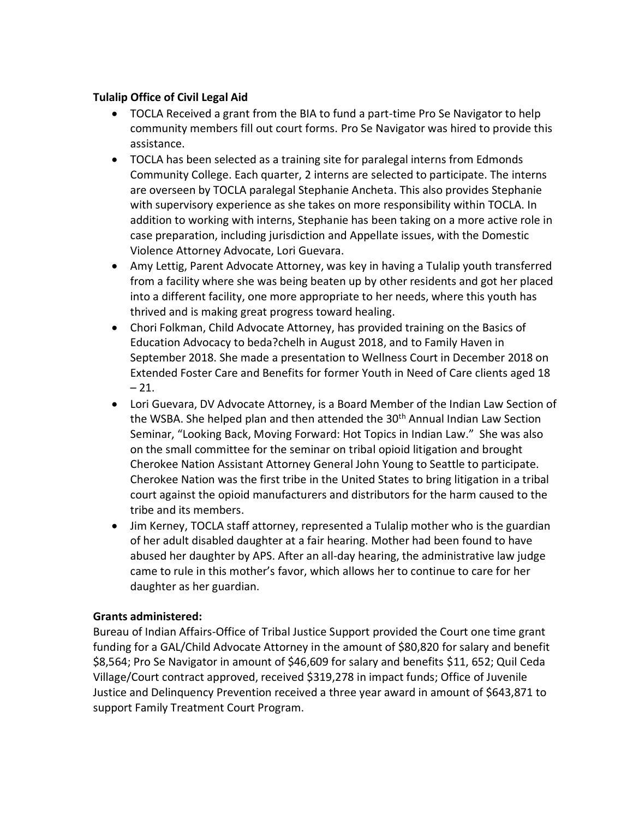### **Tulalip Office of Civil Legal Aid**

- TOCLA Received a grant from the BIA to fund a part-time Pro Se Navigator to help community members fill out court forms. Pro Se Navigator was hired to provide this assistance.
- TOCLA has been selected as a training site for paralegal interns from Edmonds Community College. Each quarter, 2 interns are selected to participate. The interns are overseen by TOCLA paralegal Stephanie Ancheta. This also provides Stephanie with supervisory experience as she takes on more responsibility within TOCLA. In addition to working with interns, Stephanie has been taking on a more active role in case preparation, including jurisdiction and Appellate issues, with the Domestic Violence Attorney Advocate, Lori Guevara.
- Amy Lettig, Parent Advocate Attorney, was key in having a Tulalip youth transferred from a facility where she was being beaten up by other residents and got her placed into a different facility, one more appropriate to her needs, where this youth has thrived and is making great progress toward healing.
- Chori Folkman, Child Advocate Attorney, has provided training on the Basics of Education Advocacy to beda?chelh in August 2018, and to Family Haven in September 2018. She made a presentation to Wellness Court in December 2018 on Extended Foster Care and Benefits for former Youth in Need of Care clients aged 18  $-21.$
- Lori Guevara, DV Advocate Attorney, is a Board Member of the Indian Law Section of the WSBA. She helped plan and then attended the 30<sup>th</sup> Annual Indian Law Section Seminar, "Looking Back, Moving Forward: Hot Topics in Indian Law." She was also on the small committee for the seminar on tribal opioid litigation and brought Cherokee Nation Assistant Attorney General John Young to Seattle to participate. Cherokee Nation was the first tribe in the United States to bring litigation in a tribal court against the opioid manufacturers and distributors for the harm caused to the tribe and its members.
- Jim Kerney, TOCLA staff attorney, represented a Tulalip mother who is the guardian of her adult disabled daughter at a fair hearing. Mother had been found to have abused her daughter by APS. After an all-day hearing, the administrative law judge came to rule in this mother's favor, which allows her to continue to care for her daughter as her guardian.

### **Grants administered:**

Bureau of Indian Affairs-Office of Tribal Justice Support provided the Court one time grant funding for a GAL/Child Advocate Attorney in the amount of \$80,820 for salary and benefit \$8,564; Pro Se Navigator in amount of \$46,609 for salary and benefits \$11, 652; Quil Ceda Village/Court contract approved, received \$319,278 in impact funds; Office of Juvenile Justice and Delinquency Prevention received a three year award in amount of \$643,871 to support Family Treatment Court Program.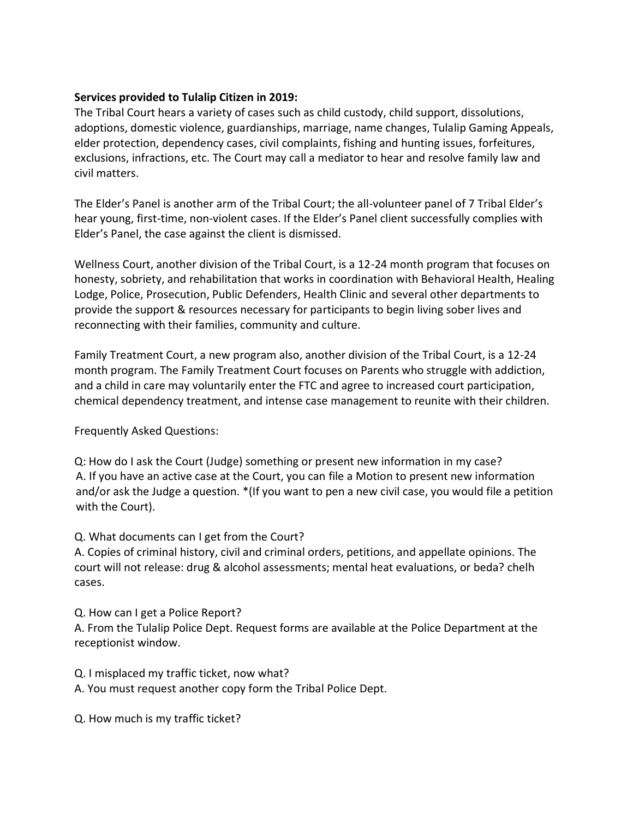### **Services provided to Tulalip Citizen in 2019:**

The Tribal Court hears a variety of cases such as child custody, child support, dissolutions, adoptions, domestic violence, guardianships, marriage, name changes, Tulalip Gaming Appeals, elder protection, dependency cases, civil complaints, fishing and hunting issues, forfeitures, exclusions, infractions, etc. The Court may call a mediator to hear and resolve family law and civil matters.

The Elder's Panel is another arm of the Tribal Court; the all-volunteer panel of 7 Tribal Elder's hear young, first-time, non-violent cases. If the Elder's Panel client successfully complies with Elder's Panel, the case against the client is dismissed.

Wellness Court, another division of the Tribal Court, is a 12-24 month program that focuses on honesty, sobriety, and rehabilitation that works in coordination with Behavioral Health, Healing Lodge, Police, Prosecution, Public Defenders, Health Clinic and several other departments to provide the support & resources necessary for participants to begin living sober lives and reconnecting with their families, community and culture.

Family Treatment Court, a new program also, another division of the Tribal Court, is a 12-24 month program. The Family Treatment Court focuses on Parents who struggle with addiction, and a child in care may voluntarily enter the FTC and agree to increased court participation, chemical dependency treatment, and intense case management to reunite with their children.

Frequently Asked Questions:

Q: How do I ask the Court (Judge) something or present new information in my case? A. If you have an active case at the Court, you can file a Motion to present new information and/or ask the Judge a question. \*(If you want to pen a new civil case, you would file a petition with the Court).

### Q. What documents can I get from the Court?

A. Copies of criminal history, civil and criminal orders, petitions, and appellate opinions. The court will not release: drug & alcohol assessments; mental heat evaluations, or beda? chelh cases.

Q. How can I get a Police Report?

A. From the Tulalip Police Dept. Request forms are available at the Police Department at the receptionist window.

Q. I misplaced my traffic ticket, now what?

A. You must request another copy form the Tribal Police Dept.

Q. How much is my traffic ticket?